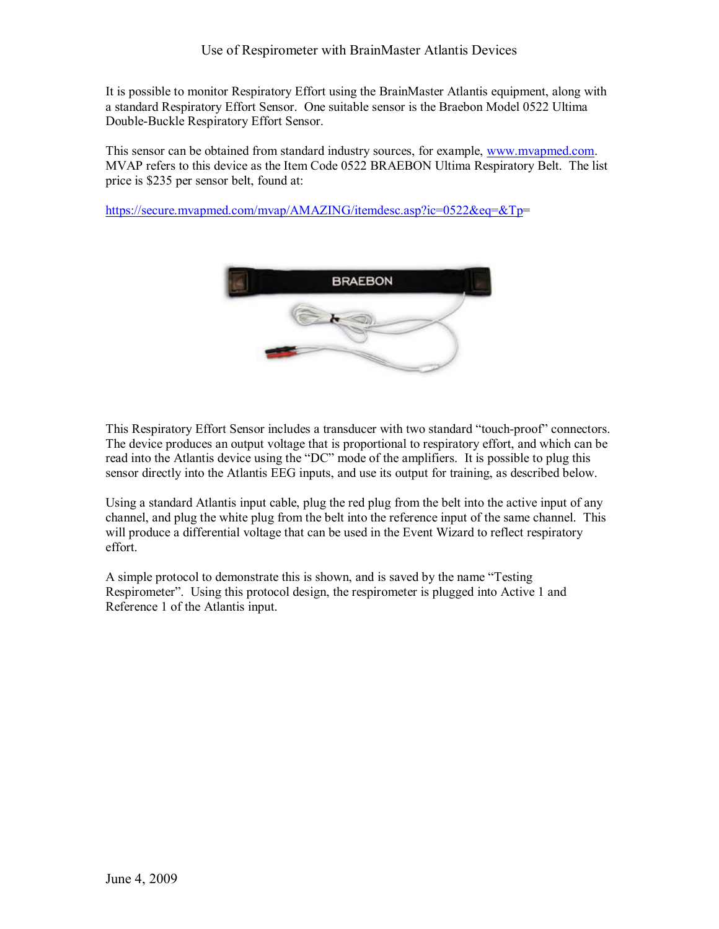It is possible to monitor Respiratory Effort using the BrainMaster Atlantis equipment, along with a standard Respiratory Effort Sensor. One suitable sensor is the Braebon Model 0522 Ultima Double-Buckle Respiratory Effort Sensor.

This sensor can be obtained from standard industry sources, for example, [www.mvapmed.com](http://www.mvapmed.com/). MVAP refers to this device as the Item Code 0522 BRAEBON Ultima Respiratory Belt. The list price is \$235 per sensor belt, found at:

<https://secure.mvapmed.com/mvap/AMAZING/itemdesc.asp?ic=0522&eq=&Tp>=



This Respiratory Effort Sensor includes a transducer with two standard "touch-proof" connectors. The device produces an output voltage that is proportional to respiratory effort, and which can be read into the Atlantis device using the "DC" mode of the amplifiers. It is possible to plug this sensor directly into the Atlantis EEG inputs, and use its output for training, as described below.

Using a standard Atlantis input cable, plug the red plug from the belt into the active input of any channel, and plug the white plug from the belt into the reference input of the same channel. This will produce a differential voltage that can be used in the Event Wizard to reflect respiratory effort.

A simple protocol to demonstrate this is shown, and is saved by the name "Testing Respirometer". Using this protocol design, the respirometer is plugged into Active 1 and Reference 1 of the Atlantis input.